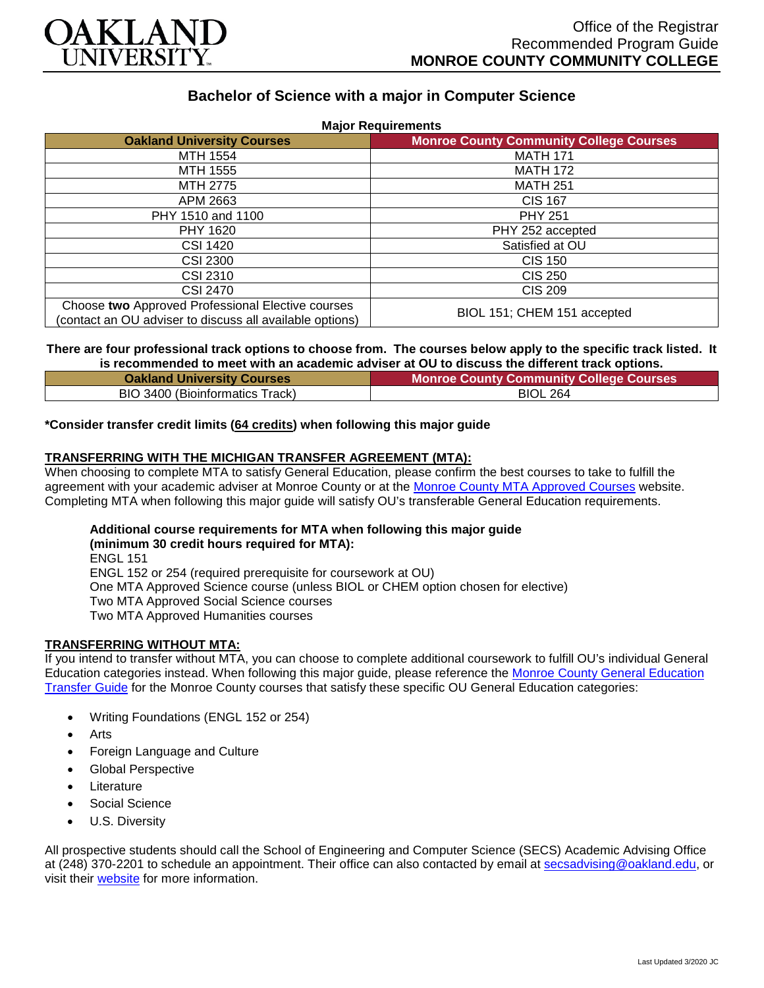

# **Bachelor of Science with a major in Computer Science**

| <b>Major Requirements</b>                                                                                     |                                                |
|---------------------------------------------------------------------------------------------------------------|------------------------------------------------|
| <b>Oakland University Courses</b>                                                                             | <b>Monroe County Community College Courses</b> |
| <b>MTH 1554</b>                                                                                               | <b>MATH 171</b>                                |
| MTH 1555                                                                                                      | <b>MATH 172</b>                                |
| MTH 2775                                                                                                      | <b>MATH 251</b>                                |
| APM 2663                                                                                                      | <b>CIS 167</b>                                 |
| PHY 1510 and 1100                                                                                             | <b>PHY 251</b>                                 |
| <b>PHY 1620</b>                                                                                               | PHY 252 accepted                               |
| CSI 1420                                                                                                      | Satisfied at OU                                |
| <b>CSI 2300</b>                                                                                               | <b>CIS 150</b>                                 |
| CSI 2310                                                                                                      | CIS 250                                        |
| CSI 2470                                                                                                      | <b>CIS 209</b>                                 |
| Choose two Approved Professional Elective courses<br>(contact an OU adviser to discuss all available options) | BIOL 151; CHEM 151 accepted                    |

**There are four professional track options to choose from. The courses below apply to the specific track listed. It is recommended to meet with an academic adviser at OU to discuss the different track options.**

| <b>Oakland University Courses</b> | <b>Monroe County Community College Courses</b> |
|-----------------------------------|------------------------------------------------|
| BIO 3400 (Bioinformatics Track)   | <b>BIOL 264</b>                                |

#### **\*Consider transfer credit limits (64 credits) when following this major guide**

# **TRANSFERRING WITH THE MICHIGAN TRANSFER AGREEMENT (MTA):**

When choosing to complete MTA to satisfy General Education, please confirm the best courses to take to fulfill the agreement with your academic adviser at Monroe County or at the [Monroe County MTA Approved Courses](https://www.monroeccc.edu/transfer/michigan-transfer-agreement) website. Completing MTA when following this major guide will satisfy OU's transferable General Education requirements.

# **Additional course requirements for MTA when following this major guide (minimum 30 credit hours required for MTA):**

ENGL 151 ENGL 152 or 254 (required prerequisite for coursework at OU) One MTA Approved Science course (unless BIOL or CHEM option chosen for elective) Two MTA Approved Social Science courses Two MTA Approved Humanities courses

#### **TRANSFERRING WITHOUT MTA:**

If you intend to transfer without MTA, you can choose to complete additional coursework to fulfill OU's individual General Education categories instead. When following this major guide, please reference the [Monroe County General Education](https://www.oakland.edu/Assets/Oakland/program-guides/monroe-county-community-college/university-general-education-requirements/Monroe%20County%20Gen%20Ed.pdf)  [Transfer Guide](https://www.oakland.edu/Assets/Oakland/program-guides/monroe-county-community-college/university-general-education-requirements/Monroe%20County%20Gen%20Ed.pdf) for the Monroe County courses that satisfy these specific OU General Education categories:

- Writing Foundations (ENGL 152 or 254)
- Arts
- Foreign Language and Culture
- Global Perspective
- **Literature**
- Social Science
- U.S. Diversity

All prospective students should call the School of Engineering and Computer Science (SECS) Academic Advising Office at (248) 370-2201 to schedule an appointment. Their office can also contacted by email at [secsadvising@oakland.edu,](mailto:secsadvising@oakland.edu) or visit their **website** for more information.